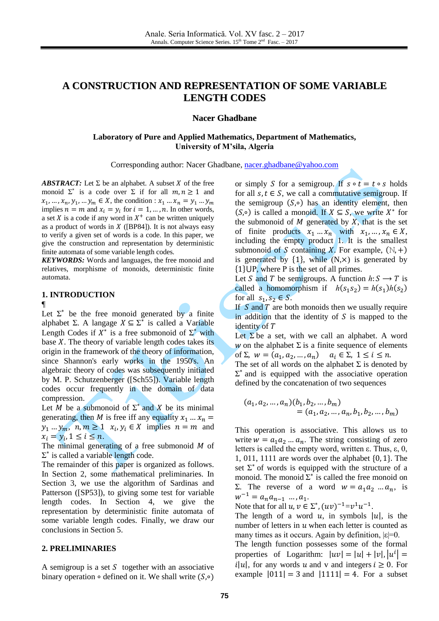# **A CONSTRUCTION AND REPRESENTATION OF SOME VARIABLE LENGTH CODES**

### **Nacer Ghadbane**

### **Laboratory of Pure and Applied Mathematics, Department of Mathematics, University of M'sila, Algeria**

Corresponding author: Nacer Ghadbane, [nacer.ghadbane@yahoo.com](mailto:nacer.ghadbane@yahoo.com)

*ABSTRACT:* Let  $\Sigma$  be an alphabet. A subset X of the free monoid  $\Sigma^*$  is a code over  $\Sigma$  if for all  $m, n \ge 1$  and  $x_1, \ldots, x_n, y_1, \ldots, y_m \in X$ , the condition : implies  $n = m$  and  $x_i = y_i$  for  $i = 1, ..., n$ . In other words, a set X is a code if any word in  $X^+$  can be written uniquely as a product of words in  $X$  ([BP84]). It is not always easy to verify a given set of words is a code. In this paper, we give the construction and representation by deterministic finite automata of some variable length codes.

*KEYWORDS:* Words and languages, the free monoid and relatives, morphisme of monoids, deterministic finite automata.

#### **1. INTRODUCTION**

### ¶

Let  $\Sigma^*$  be the free monoid generated by a finite alphabet  $\Sigma$ . A langage  $X \subseteq \Sigma^*$  is called a Variable Length Codes if  $X^*$  is a free submonoid of  $\Sigma^*$  with base  $X$ . The theory of variable length codes takes its origin in the framework of the theory of information, since Shannon's early works in the 1950's. An algebraic theory of codes was subsequently initiated by M. P. Schutzenberger ([Sch55]). Variable length codes occur frequently in the domain of data compression.

Let M be a submonoid of  $\Sigma^*$  and X be its minimal generating, then M is free iff any equality  $x_1 ... x_n =$  $y_1 ... y_m$ ,  $n, m \ge 1$   $x_i, y_i \in X$  implies  $n = m$  and  $x_i = y_i, 1 \leq i \leq n$ .

The minimal generating of a free submonoid  $M$  of  $\Sigma^*$  is called a variable length code.

The remainder of this paper is organized as follows. In Section 2, some mathematical preliminaries. In Section 3, we use the algorithm of Sardinas and Patterson ([SP53]), to giving some test for variable length codes. In Section 4, we give the representation by deterministic finite automata of some variable length codes. Finally, we draw our conclusions in Section 5.

#### **2. PRELIMINARIES**

A semigroup is a set  $S$  together with an associative binary operation  $\circ$  defined on it. We shall write  $(S, \circ)$  or simply S for a semigroup. If  $s \circ t = t \circ s$  holds for all  $s, t \in S$ , we call a commutative semigroup. If the semigroup  $(S, \circ)$  has an identity element, then  $(S, \circ)$  is called a monoid. If  $X \subseteq S$ , we write  $X^*$  for the submonoid of  $M$  generated by  $X$ , that is the set of finite products  $x_1 ... x_n$  with  $x_1,...,x_n \in X$ , including the empty product 1. It is the smallest submonoid of S containing X. For example,  $(N, +)$ is generated by  $\{1\}$ , while  $(N, \times)$  is generated by  $\{1\} \cup P$ , where P is the set of all primes.

Let S and T be semigroups. A function  $h: S \longrightarrow T$  is called a homomorphism if  $h(s_1 s_2) = h(s_1)h(s_2)$ for all  $s_1$ ,  $s_2 \in S$ .

If  $S$  and  $T$  are both monoids then we usually require in addition that the identity of  $S$  is mapped to the identity of T

Let  $\Sigma$  be a set, with we call an alphabet. A word w on the alphabet  $\Sigma$  is a finite sequence of elements of  $\Sigma$ ,  $w = (a_1, a_2, ..., a_n)$ 

The set of all words on the alphabet  $\Sigma$  is denoted by  $\Sigma^*$  and is equipped with the associative operation defined by the concatenation of two sequences

$$
(a_1, a_2, ..., a_n)(b_1, b_2, ..., b_m)
$$
  
=  $(a_1, a_2, ..., a_n, b_1, b_2, ..., b_m)$ 

This operation is associative. This allows us to write  $w = a_1 a_2 ... a_n$ . The string consisting of zero letters is called the empty word, written ε. Thus, ε, 0, 1, 011, 1111 are words over the alphabet  $\{0, 1\}$ . The set  $\Sigma^*$  of words is equipped with the structure of a monoid. The monoid  $\sum^*$  is called the free monoid on  $\Sigma$ . The reverse of a word  $w = a_1 a_2 ... a_n$ , is  $w^{-1} = a_n a_{n-1} \dots a_1.$ 

Note that for all  $u, v \in \Sigma^*$ ,  $(uv)^{-1} = v^1 u^{-1}$ .

The length of a word u, in symbols  $|u|$ , is the number of letters in  $u$  when each letter is counted as many times as it occurs. Again by definition,  $|\varepsilon|=0$ .

The length function possesses some of the formal properties of Logarithm:  $|uv| = |u| + |v|, |u^i|$  $i|u|$ , for any words u and v and integers  $i \geq 0$ . For example  $|011| = 3$  and  $|1111| = 4$ . For a subset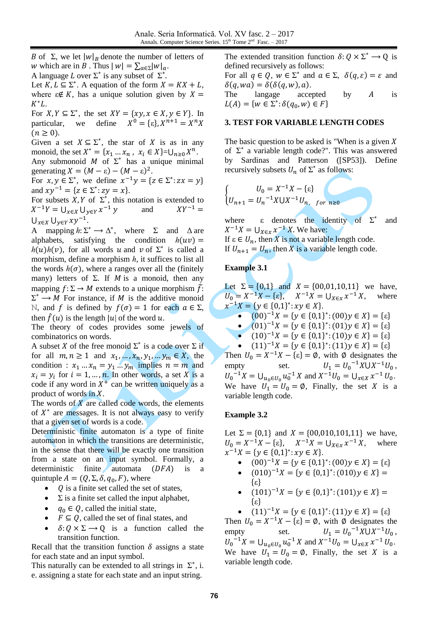B of  $\Sigma$ , we let  $|w|_B$  denote the number of letters of w which are in B. Thus  $|w| = \sum_{a \in \Sigma} |w|_a$ . A language L over  $\Sigma^*$  is any subset of  $\Sigma^*$ .

Let  $K, L \subseteq \Sigma^*$ . A equation of the form  $X = KX + L$ , where  $\varepsilon \notin K$ , has a unique solution given by  $X =$  $K^*L$ .

For  $X, Y \subseteq \Sigma^*$ , the set  $XY = \{xy, x \in X, y \in Y\}$ . In particular, we define  $X^0 = \{\varepsilon\}, X^{n+1} = X^n$  $(n \geq 0)$ .

Given a set  $X \subseteq \Sigma^*$ , the star of X is as in any monoid, the set  $X^* = \{x_1 \dots x_n, x_i \in X\} = \bigcup_{n \geq 0} X^n$ . Any submonoid  $M$  of  $\Sigma^*$  has a unique minimal generating  $X = (M - \varepsilon) - (M - \varepsilon)^2$ .

For  $x, y \in \Sigma^*$ , we define  $x^{-1}y = \{z \in \Sigma^*$ : and  $xy^{-1} = \{z \in \Sigma^* : zy = x\}.$ 

For subsets  $X, Y$  of  $\Sigma^*$ , this notation is extended to  $X^{-1}Y = \bigcup_{x \in X} \bigcup_{y \in Y} x^{-1} y$  and X  $\bigcup_{x\in X}\bigcup_{y\in Y}xy^{-1}.$ 

A mapping  $h: \Sigma^* \to \Delta^*$ , where  $\Sigma$  and  $\Delta$  are alphabets, satisfying the condition  $h(uv)$  =  $h(u)h(v)$ , for all words u and v of  $\Sigma^*$  is called a morphism, define a morphism  $h$ , it suffices to list all the words  $h(\sigma)$ , where a ranges over all the (finitely many) letters of  $\Sigma$ . If *M* is a monoid, then any mapping  $f: \Sigma \to M$  extends to a unique morphism  $\hat{f}$ :  $\Sigma^* \longrightarrow M$  For instance, if M is the additive monoid N, and *f* is defined by *f*(*σ*) = 1 for each *a* ∈ Σ, then  $\hat{f}(u)$  is the length |u| of the word u.

The theory of codes provides some jewels of combinatorics on words.

A subset X of the free monoid  $\Sigma^*$  is a code over  $\Sigma$  if for all  $m, n \ge 1$  and  $x_1, \ldots, x_n, y_1, \ldots, y_m \in X$ , the condition :  $x_1 ... x_n = y_1 ... y_m$  implies  $n = m$  and  $x_i = y_i$  for  $i = 1, ..., n$ . In other words, a set X is a code if any word in  $X^+$  can be written uniquely as a product of words in  $X$ .

The words of  $X$  are called code words, the elements of  $X^*$  are messages. It is not always easy to verify that a given set of words is a code.

Deterministic finite automaton is a type of finite automaton in which the transitions are deterministic, in the sense that there will be exactly one transition from a state on an input symbol. Formally, a deterministic finite automata  $(DFA)$  is quintuple  $A = (Q, \Sigma, \delta, q_0, F)$ , where

- $\bullet$  Q is a finite set called the set of states,
- $\Sigma$  is a finite set called the input alphabet,
- $q_0 \in Q$ , called the initial state,
- $F \subseteq Q$ , called the set of final states, and
- $\delta: Q \times \Sigma \longrightarrow Q$  is a function called the transition function.

Recall that the transition function  $\delta$  assigns a state for each state and an input symbol.

This naturally can be extended to all strings in  $\Sigma^*$ , i. e. assigning a state for each state and an input string.

The extended transition function  $\delta: Q \times \Sigma^* \to Q$  is defined recursively as follows:

For all  $q \in Q$ ,  $w \in \Sigma^*$  and  $a \in \Sigma$ ,  $\delta(q, \varepsilon) = \varepsilon$  and  $\delta(q, wa) = \delta(\delta(q, w), a).$ The langage accepted by  $A$  is  $L(A) = \{w \in \Sigma^* :$ 

#### **3. TEST FOR VARIABLE LENGTH CODES**

The basic question to be asked is "When is a given  $X$ of  $\Sigma^*$  a variable length code?". This was answered by Sardinas and Patterson ([SP53]). Define recursively subsets  $U_n$  of  $\Sigma^*$  as follows:

$$
\begin{cases}\nU_0 = X^{-1}X - \{\varepsilon\} \\
U_{n+1} = U_n^{-1}X \cup X^{-1}U_{n}, \text{ for } n \ge 0\n\end{cases}
$$

where  $\varepsilon$  denotes the identity of  $\Sigma^*$ and  $X^{-1}X = \bigcup_{X \in \mathcal{X}} x^{-1} X$ . We have:

If  $\varepsilon \in U_n$ , then X is not a variable length code. If  $U_{n+1} = U_n$ , then X is a variable length code.

### **Example 3.1**

Let  $\Sigma = \{0,1\}$  and  $X = \{00,01,10,11\}$  we have,  $U_0 = X^{-1}X - {\varepsilon}$ ,  $X^{-1}X = \bigcup_{X \in {\mathcal{X}}} x^{-1}X$ , where  $x^{-1}X = \{y \in \{0,1\}^* : xy \in X\}.$ 

• 
$$
(00)^{-1}X = \{y \in \{0,1\}^* : (00)y \in X\} = \{\varepsilon\}
$$

•  $(01)^{-1}X = \{y \in \{0,1\}^* : (01)y \in X\} = \{\varepsilon\}$ 

$$
(10)^{-1}X = \{ y \in \{0,1\}^* : (10)y \in X \} = \{ \varepsilon \}
$$

•  $(11)^{-1}X = \{y \in \{0,1\}^*: (11)y \in X\} = \{\varepsilon\}$ 

Then  $U_0 = X^{-1}X - {\varepsilon} = \emptyset$ , with  $\emptyset$  designates the empty set.  $U_1 = U_0^{-1} X U X^{-1} U_0$ ,  $U_0^{-1}X = \bigcup_{u_0 \in U_0} u_0^{-1} X$  and  $X^{-1}U_0 = \bigcup_{x \in X} x^{-1} U_0$ . We have  $U_1 = U_0 = \emptyset$ , Finally, the set X is a variable length code.

#### **Example 3.2**

Let  $\Sigma = \{0,1\}$  and  $X = \{00,010,101,11\}$  we have,  $U_0 = X^{-1}X - \{\epsilon\}, \quad X^{-1}X = \bigcup_{X \in \mathcal{X}} x^{-1}X,$  where  $x^{-1}X = \{y \in \{0,1\}^* : xy \in X\}.$ 

- $(00)^{-1}X = \{y \in \{0,1\}^* : (00)y \in X\} = \{\varepsilon\}$
- $(010)^{-1}X = \{y \in \{0,1\}^*$ ε
- $(101)^{-1}X = \{y \in \{0,1\}^*$ ε

•  $(11)^{-1}X = \{y \in \{0,1\}^*: (11)y \in X\} = \{\varepsilon\}$ Then  $U_0 = X^{-1}X - {\varepsilon} = \emptyset$ , with  $\emptyset$  designates the empty set.  $^{-1}X\bigcup X^{-1}U_0$ ,  $U_0^{-1}X = \bigcup_{u_0 \in U_0} u_0^{-1} X$  and  $X^{-1}U_0 = \bigcup_{x \in X} x^{-1} U_0$ . We have  $U_1 = U_0 = \emptyset$ , Finally, the set X is a variable length code.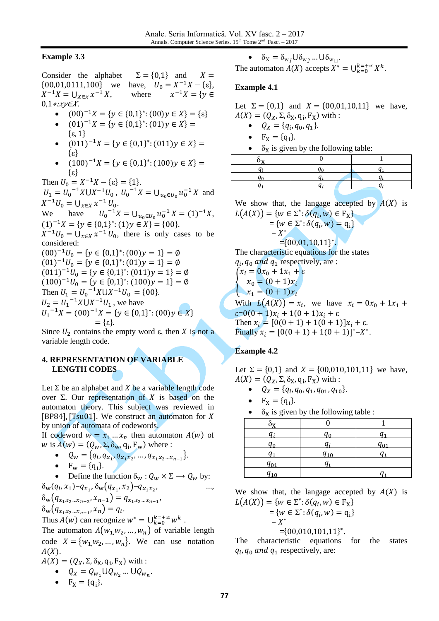### **Example 3.3**

Consider the alphabet  $\Sigma = \{0,1\}$  and  $X =$  $\{00,01,0111,100\}$  we have,  $U_0 = X^{-1}X - \{\epsilon\},\$  $X^{-1}X = \bigcup_{X \in \mathcal{X}} x^{-1} X$ , where  $x^{-1}X = \{v \in$  $0,1*xy\in X$ .

- $\bullet$  $^{-1}X = \{y \in \{0,1\}^* : (00)y \in X\} = \{\epsilon\}$
- $(01)^{-1}X = \{y \in \{0,1\}^*$  ${ε, 1}$
- $(011)^{-1}X = \{y \in \{0,1\}^*$ ε
- $(100)^{-1}X = \{y \in \{0,1\}^*$ ε

Then  $U_0 = X^{-1}X - {\varepsilon} = \{1\}.$  $U_1 = U_0^{-1} X \cup X^{-1} U_0$ ,  $U_0^{-1} X = \bigcup_{u_0 \in U_0} u_0^{-1} X$  and  $X^{-1}U_0 = \bigcup_{x \in X} x^{-1} U_0.$ We have  $^{-1}X = \bigcup_{u_0 \in U_0} u_0^{-1} X = (1)^{-1} X,$  $(1)^{-1}X = \{y \in \{0,1\}^*: (1)y \in X\} = \{00\}.$ 

 $X^{-1}U_0 = \bigcup_{x \in X} x^{-1} U_0$ , there is only cases to be considered:

 $(00)^{-1}U_0 = \{y \in \{0,1\}^*$  $(01)^{-1}U_0 = \{y \in \{0,1\}^*$  $(011)^{-1}U_0 = \{y \in \{0,1\}^*$  $(100)^{-1}U_0 = \{y \in \{0,1\}^*$ Then  $U_1 = U_0^{-1}X \cup X^{-1}U_0 = \{00\}.$  $U_2 = U_1^{-1}X \cup X^{-1}U_1$ , we have  $U_1^{-1}X = (00)^{-1}X = \{y \in \{0,1\}^*$  $=\{\epsilon\}.$ 

Since  $U_2$  contains the empty word  $\varepsilon$ , then X is not a variable length code.

# **4. REPRESENTATION OF VARIABLE LENGTH CODES**

Let  $\Sigma$  be an alphabet and X be a variable length code over  $\Sigma$ . Our representation of X is based on the automaton theory. This subject was reviewed in [BP84], [Tsu01]. We construct an automaton for  $X$ by union of automata of codewords.

If codeword  $w = x_1 ... x_n$  then automaton  $A(w)$  of w is  $A(w) = (Q_w, \Sigma, \delta_w, q_i, F_w)$  where :

• 
$$
Q_w = \{q_i, q_{x_1}, q_{x_1x_2}, \ldots, q_{x_1x_2\ldots x_{n-1}}\}.
$$

• 
$$
F_w = \{q_i\}.
$$

• Define the function 
$$
\delta_w : Q_w \times \Sigma \longrightarrow Q_w
$$
 by:

$$
\delta_{\mathbf{w}}(q_i, x_1) = q_{x_1}, \delta_{\mathbf{w}}(q_{x_1}, x_2) = q_{x_1 x_2}, \dots, \delta_{\mathbf{w}}(q_{x_1 x_2 \dots x_{n-2}}, x_{n-1}) = q_{x_1 x_2 \dots x_{n-1}},
$$

 $\delta_{\mathbf{w}}(q_{x_1x_2...x_{n-1}},x_n)=q_i.$ 

Thus  $A(w)$  can recognize  $w^* = \bigcup_{k=0}^{k=+\infty} w^k$ .

The automaton  $A(w_1, w_2, ..., w_n)$  of variable length code  $X = \{w_1, w_2, ..., w_n\}$ . We can use notation  $A(X)$ .

 $A(X) = (Q_X, \Sigma, \delta_X, q_i, F_X)$  with :

$$
\bullet \quad Q_X = Q_{W_1} \cup Q_{W_2} \dots \cup Q_{W_n}.
$$

•  $F_X = \{q_i\}$ 

•  $\delta_{\rm X} = \delta_{\rm w} \cdot \mathsf{U} \delta_{\rm w} \cdot \mathsf{U} \delta_{\rm w} \cdot \mathsf{U} \cdot \mathsf{V}$ 

The automaton  $A(X)$  accepts  $X^* = \bigcup_{k=0}^{k=+\infty} X^k$ .

### **Example 4.1**

Let  $\Sigma = \{0,1\}$  and  $X = \{00,01,10,11\}$  we have,  $A(X) = (Q_X, \Sigma, \delta_X, q_i, F_X)$  with :

- $Q_X = \{q_i, q_0, q_1\}.$
- $F_X = \{q_i\}$
- $\delta_X$  is given by the following table:

We show that, the langage accepted by  $A(X)$  is  $L(A(X)) = \{w \in \Sigma^* : \delta(q_i, w) \in F_X\}$ 

$$
= \{w \in \Sigma^* : \delta(q_i, w) = q_i\} \\
 = X^*
$$

$$
=
$$
{00,01,10,11} $^*$ .

The characteristic equations for the states  $q_i$ ,  $q_0$  and  $q_1$  respectively, are :

 $\left\{ \right.$  $\int x_i = 0x_0 + 1x_1 + \varepsilon$  $x_0 = (0+1)x_i$  $x_1 = (0+1)x_i$ With  $L(A(X)) = x_i$ , we have x  $\varepsilon = 0(0 + 1)x_i + 1(0 + 1)x_i + \varepsilon$ Then  $x_i = [0(0 + 1) + 1(0 + 1)]x_i + \varepsilon$ . Finally  $x_i = [0(0 + 1) + 1(0 + 1)]^* = X^*$ .

# **Example 4.2**

Let  $\Sigma = \{0,1\}$  and  $X = \{00,010,101,11\}$  we have,  $A(X) = (Q_X, \Sigma, \delta_X, q_i, F_X)$  with :

- $Q_X = \{q_i, q_0, q_1, q_{01}, q_{10}\}.$
- $F_X = \{q_i\}$
- $\delta_X$  is given by the following table :

| $q_{0}$  |          | $q_{01}$ |
|----------|----------|----------|
| U1       | $q_{10}$ | u:       |
| $q_{01}$ |          |          |
|          |          |          |

We show that, the langage accepted by  $A(X)$  is  $L(A(X)) = \{w \in \Sigma^* : \delta(q_i, w) \in F_X\}$ 

$$
L(A(X)) = \{W \in \Sigma : \delta(q_i, W) \in \Gamma\}
$$
  
=  $\{W \in \Sigma^* : \delta(q_i, W) = q_i\}$   
=  $X^*$ 

$$
= \{00,010,101,11\}^*.
$$

The characteristic equations for the states  $q_i$ ,  $q_0$  and  $q_1$  respectively, are: